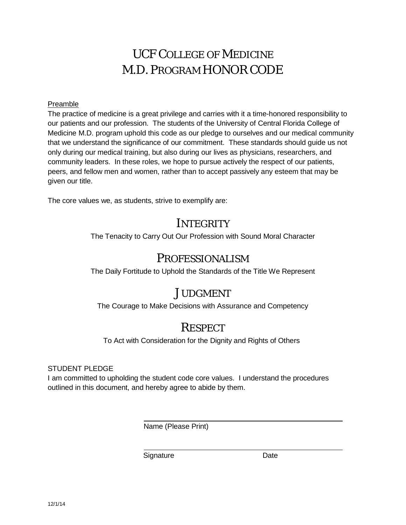# UCF COLLEGE OF MEDICINE M.D. PROGRAM HONOR CODE

#### Preamble

The practice of medicine is a great privilege and carries with it a time-honored responsibility to our patients and our profession. The students of the University of Central Florida College of Medicine M.D. program uphold this code as our pledge to ourselves and our medical community that we understand the significance of our commitment. These standards should guide us not only during our medical training, but also during our lives as physicians, researchers, and community leaders. In these roles, we hope to pursue actively the respect of our patients, peers, and fellow men and women, rather than to accept passively any esteem that may be given our title.

The core values we, as students, strive to exemplify are:

## **INTEGRITY**

The Tenacity to Carry Out Our Profession with Sound Moral Character

## PROFESSIONALISM

The Daily Fortitude to Uphold the Standards of the Title We Represent

# **JUDGMENT**

The Courage to Make Decisions with Assurance and Competency

# **RESPECT**

To Act with Consideration for the Dignity and Rights of Others

#### STUDENT PLEDGE

I am committed to upholding the student code core values. I understand the procedures outlined in this document, and hereby agree to abide by them.

Name (Please Print)

Signature Date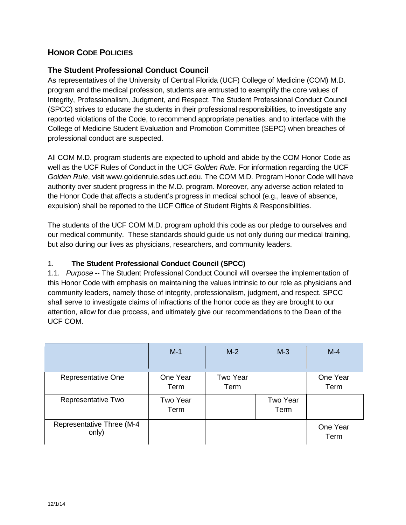### **HONOR CODE POLICIES**

### **The Student Professional Conduct Council**

As representatives of the University of Central Florida (UCF) College of Medicine (COM) M.D. program and the medical profession, students are entrusted to exemplify the core values of Integrity, Professionalism, Judgment, and Respect. The Student Professional Conduct Council (SPCC) strives to educate the students in their professional responsibilities, to investigate any reported violations of the Code, to recommend appropriate penalties, and to interface with the College of Medicine Student Evaluation and Promotion Committee (SEPC) when breaches of professional conduct are suspected.

All COM M.D. program students are expected to uphold and abide by the COM Honor Code as well as the UCF Rules of Conduct in the UCF *Golden Rule*. For information regarding the UCF *Golden Rule*, visit [www.goldenrule.sdes.ucf.edu.](http://www.goldenrule.sdes.ucf.edu/) The COM M.D. Program Honor Code will have authority over student progress in the M.D. program. Moreover, any adverse action related to the Honor Code that affects a student's progress in medical school (e.g., leave of absence, expulsion) shall be reported to the UCF Office of Student Rights & Responsibilities.

The students of the UCF COM M.D. program uphold this code as our pledge to ourselves and our medical community. These standards should guide us not only during our medical training, but also during our lives as physicians, researchers, and community leaders.

#### 1. **The Student Professional Conduct Council (SPCC)**

1.1. *Purpose* -- The Student Professional Conduct Council will oversee the implementation of this Honor Code with emphasis on maintaining the values intrinsic to our role as physicians and community leaders, namely those of integrity, professionalism, judgment, and respect. SPCC shall serve to investigate claims of infractions of the honor code as they are brought to our attention, allow for due process, and ultimately give our recommendations to the Dean of the UCF COM.

|                                    | $M-1$            | $M-2$            | $M-3$            | $M-4$            |
|------------------------------------|------------------|------------------|------------------|------------------|
| Representative One                 | One Year<br>Term | Two Year<br>Term |                  | One Year<br>Term |
| Representative Two                 | Two Year<br>Term |                  | Two Year<br>Term |                  |
| Representative Three (M-4<br>only) |                  |                  |                  | One Year<br>Term |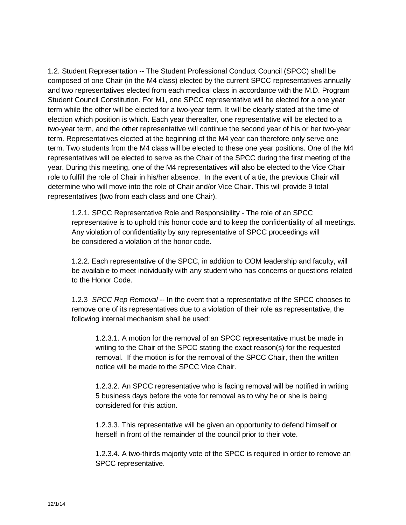1.2. Student Representation -- The Student Professional Conduct Council (SPCC) shall be composed of one Chair (in the M4 class) elected by the current SPCC representatives annually and two representatives elected from each medical class in accordance with the M.D. Program Student Council Constitution. For M1, one SPCC representative will be elected for a one year term while the other will be elected for a two-year term. It will be clearly stated at the time of election which position is which. Each year thereafter, one representative will be elected to a two-year term, and the other representative will continue the second year of his or her two-year term. Representatives elected at the beginning of the M4 year can therefore only serve one term. Two students from the M4 class will be elected to these one year positions. One of the M4 representatives will be elected to serve as the Chair of the SPCC during the first meeting of the year. During this meeting, one of the M4 representatives will also be elected to the Vice Chair role to fulfill the role of Chair in his/her absence. In the event of a tie, the previous Chair will determine who will move into the role of Chair and/or Vice Chair. This will provide 9 total representatives (two from each class and one Chair).

1.2.1. SPCC Representative Role and Responsibility - The role of an SPCC representative is to uphold this honor code and to keep the confidentiality of all meetings. Any violation of confidentiality by any representative of SPCC proceedings will be considered a violation of the honor code.

1.2.2. Each representative of the SPCC, in addition to COM leadership and faculty, will be available to meet individually with any student who has concerns or questions related to the Honor Code.

1.2.3 *SPCC Rep Removal* -- In the event that a representative of the SPCC chooses to remove one of its representatives due to a violation of their role as representative, the following internal mechanism shall be used:

1.2.3.1. A motion for the removal of an SPCC representative must be made in writing to the Chair of the SPCC stating the exact reason(s) for the requested removal. If the motion is for the removal of the SPCC Chair, then the written notice will be made to the SPCC Vice Chair.

1.2.3.2. An SPCC representative who is facing removal will be notified in writing 5 business days before the vote for removal as to why he or she is being considered for this action.

1.2.3.3. This representative will be given an opportunity to defend himself or herself in front of the remainder of the council prior to their vote.

1.2.3.4. A two-thirds majority vote of the SPCC is required in order to remove an SPCC representative.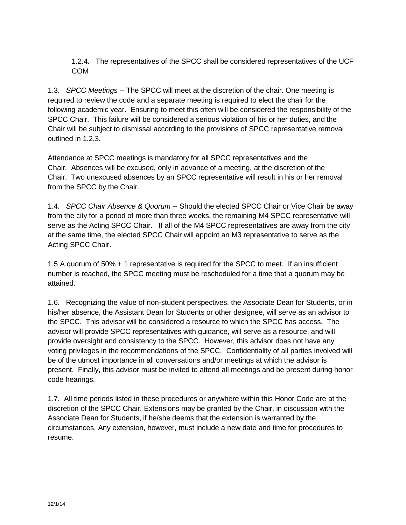1.2.4. The representatives of the SPCC shall be considered representatives of the UCF COM

1.3. *SPCC Meetings* -- The SPCC will meet at the discretion of the chair. One meeting is required to review the code and a separate meeting is required to elect the chair for the following academic year. Ensuring to meet this often will be considered the responsibility of the SPCC Chair. This failure will be considered a serious violation of his or her duties, and the Chair will be subject to dismissal according to the provisions of SPCC representative removal outlined in 1.2.3.

Attendance at SPCC meetings is mandatory for all SPCC representatives and the Chair. Absences will be excused, only in advance of a meeting, at the discretion of the Chair. Two unexcused absences by an SPCC representative will result in his or her removal from the SPCC by the Chair.

1.4. *SPCC Chair Absence & Quorum* -- Should the elected SPCC Chair or Vice Chair be away from the city for a period of more than three weeks, the remaining M4 SPCC representative will serve as the Acting SPCC Chair. If all of the M4 SPCC representatives are away from the city at the same time, the elected SPCC Chair will appoint an M3 representative to serve as the Acting SPCC Chair.

1.5 A quorum of 50% + 1 representative is required for the SPCC to meet. If an insufficient number is reached, the SPCC meeting must be rescheduled for a time that a quorum may be attained.

1.6. Recognizing the value of non-student perspectives, the Associate Dean for Students, or in his/her absence, the Assistant Dean for Students or other designee, will serve as an advisor to the SPCC. This advisor will be considered a resource to which the SPCC has access. The advisor will provide SPCC representatives with guidance, will serve as a resource, and will provide oversight and consistency to the SPCC. However, this advisor does not have any voting privileges in the recommendations of the SPCC. Confidentiality of all parties involved will be of the utmost importance in all conversations and/or meetings at which the advisor is present. Finally, this advisor must be invited to attend all meetings and be present during honor code hearings.

1.7. All time periods listed in these procedures or anywhere within this Honor Code are at the discretion of the SPCC Chair. Extensions may be granted by the Chair, in discussion with the Associate Dean for Students, if he/she deems that the extension is warranted by the circumstances. Any extension, however, must include a new date and time for procedures to resume.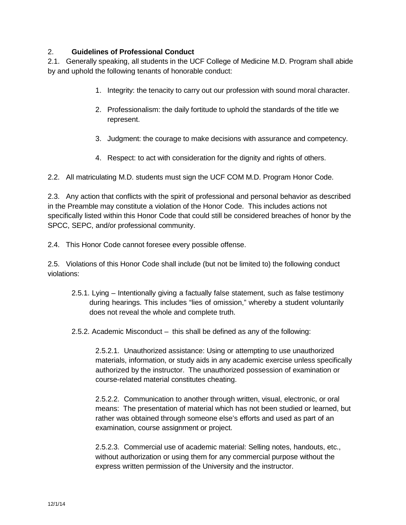#### 2. **Guidelines of Professional Conduct**

2.1. Generally speaking, all students in the UCF College of Medicine M.D. Program shall abide by and uphold the following tenants of honorable conduct:

- 1. Integrity: the tenacity to carry out our profession with sound moral character.
- 2. Professionalism: the daily fortitude to uphold the standards of the title we represent.
- 3. Judgment: the courage to make decisions with assurance and competency.
- 4. Respect: to act with consideration for the dignity and rights of others.

2.2. All matriculating M.D. students must sign the UCF COM M.D. Program Honor Code.

2.3. Any action that conflicts with the spirit of professional and personal behavior as described in the Preamble may constitute a violation of the Honor Code. This includes actions not specifically listed within this Honor Code that could still be considered breaches of honor by the SPCC, SEPC, and/or professional community.

2.4. This Honor Code cannot foresee every possible offense.

2.5. Violations of this Honor Code shall include (but not be limited to) the following conduct violations:

- 2.5.1. Lying Intentionally giving a factually false statement, such as false testimony during hearings. This includes "lies of omission," whereby a student voluntarily does not reveal the whole and complete truth.
- 2.5.2. Academic Misconduct this shall be defined as any of the following:

2.5.2.1. Unauthorized assistance: Using or attempting to use unauthorized materials, information, or study aids in any academic exercise unless specifically authorized by the instructor. The unauthorized possession of examination or course-related material constitutes cheating.

2.5.2.2. Communication to another through written, visual, electronic, or oral means: The presentation of material which has not been studied or learned, but rather was obtained through someone else's efforts and used as part of an examination, course assignment or project.

2.5.2.3. Commercial use of academic material: Selling notes, handouts, etc., without authorization or using them for any commercial purpose without the express written permission of the University and the instructor.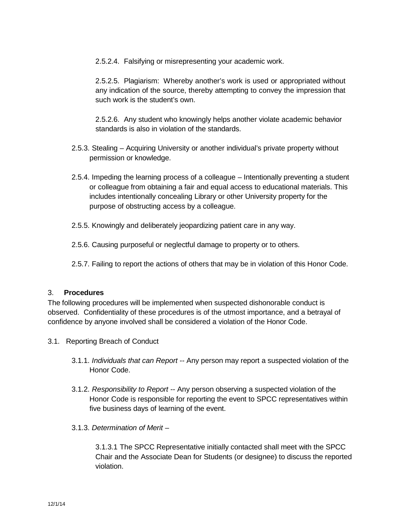2.5.2.4. Falsifying or misrepresenting your academic work.

2.5.2.5. Plagiarism: Whereby another's work is used or appropriated without any indication of the source, thereby attempting to convey the impression that such work is the student's own.

2.5.2.6. Any student who knowingly helps another violate academic behavior standards is also in violation of the standards.

- 2.5.3. Stealing Acquiring University or another individual's private property without permission or knowledge.
- 2.5.4. Impeding the learning process of a colleague Intentionally preventing a student or colleague from obtaining a fair and equal access to educational materials. This includes intentionally concealing Library or other University property for the purpose of obstructing access by a colleague.
- 2.5.5. Knowingly and deliberately jeopardizing patient care in any way.
- 2.5.6. Causing purposeful or neglectful damage to property or to others.
- 2.5.7. Failing to report the actions of others that may be in violation of this Honor Code.

#### 3. **Procedures**

The following procedures will be implemented when suspected dishonorable conduct is observed. Confidentiality of these procedures is of the utmost importance, and a betrayal of confidence by anyone involved shall be considered a violation of the Honor Code.

- 3.1. Reporting Breach of Conduct
	- 3.1.1. *Individuals that can Report --* Any person may report a suspected violation of the Honor Code.
	- 3.1.2. *Responsibility to Report --* Any person observing a suspected violation of the Honor Code is responsible for reporting the event to SPCC representatives within five business days of learning of the event.

#### 3.1.3. *Determination of Merit –*

3.1.3.1 The SPCC Representative initially contacted shall meet with the SPCC Chair and the Associate Dean for Students (or designee) to discuss the reported violation.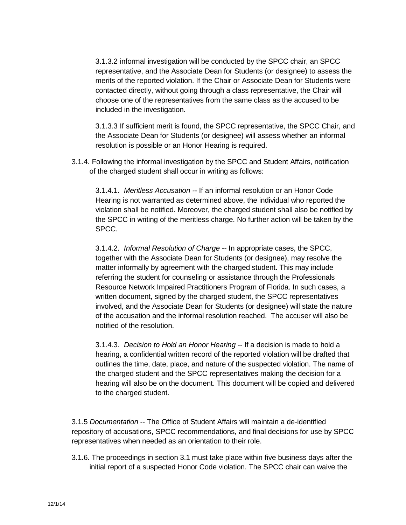3.1.3.2 informal investigation will be conducted by the SPCC chair, an SPCC representative, and the Associate Dean for Students (or designee) to assess the merits of the reported violation. If the Chair or Associate Dean for Students were contacted directly, without going through a class representative, the Chair will choose one of the representatives from the same class as the accused to be included in the investigation.

3.1.3.3 If sufficient merit is found, the SPCC representative, the SPCC Chair, and the Associate Dean for Students (or designee) will assess whether an informal resolution is possible or an Honor Hearing is required.

3.1.4. Following the informal investigation by the SPCC and Student Affairs, notification of the charged student shall occur in writing as follows:

3.1.4.1. *Meritless Accusation --* If an informal resolution or an Honor Code Hearing is not warranted as determined above, the individual who reported the violation shall be notified. Moreover, the charged student shall also be notified by the SPCC in writing of the meritless charge. No further action will be taken by the SPCC.

3.1.4.2. *Informal Resolution of Charge --* In appropriate cases, the SPCC, together with the Associate Dean for Students (or designee), may resolve the matter informally by agreement with the charged student. This may include referring the student for counseling or assistance through the Professionals Resource Network Impaired Practitioners Program of Florida. In such cases, a written document, signed by the charged student, the SPCC representatives involved, and the Associate Dean for Students (or designee) will state the nature of the accusation and the informal resolution reached. The accuser will also be notified of the resolution.

3.1.4.3. *Decision to Hold an Honor Hearing* -- If a decision is made to hold a hearing, a confidential written record of the reported violation will be drafted that outlines the time, date, place, and nature of the suspected violation. The name of the charged student and the SPCC representatives making the decision for a hearing will also be on the document. This document will be copied and delivered to the charged student.

3.1.5 *Documentation* -- The Office of Student Affairs will maintain a de-identified repository of accusations, SPCC recommendations, and final decisions for use by SPCC representatives when needed as an orientation to their role.

3.1.6. The proceedings in section 3.1 must take place within five business days after the initial report of a suspected Honor Code violation. The SPCC chair can waive the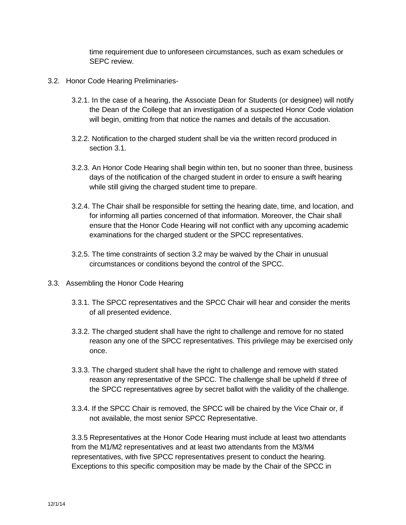time requirement due to unforeseen circumstances, such as exam schedules or SEPC review.

- 3.2. Honor Code Hearing Preliminaries-
	- 3.2.1. In the case of a hearing, the Associate Dean for Students (or designee) will notify the Dean of the College that an investigation of a suspected Honor Code violation will begin, omitting from that notice the names and details of the accusation.
	- 3.2.2. Notification to the charged student shall be via the written record produced in section 3.1.
	- 3.2.3. An Honor Code Hearing shall begin within ten, but no sooner than three, business days of the notification of the charged student in order to ensure a swift hearing while still giving the charged student time to prepare.
	- 3.2.4. The Chair shall be responsible for setting the hearing date, time, and location, and for informing all parties concerned of that information. Moreover, the Chair shall ensure that the Honor Code Hearing will not conflict with any upcoming academic examinations for the charged student or the SPCC representatives.
	- 3.2.5. The time constraints of section 3.2 may be waived by the Chair in unusual circumstances or conditions beyond the control of the SPCC.
- 3.3. Assembling the Honor Code Hearing
	- 3.3.1. The SPCC representatives and the SPCC Chair will hear and consider the merits of all presented evidence.
	- 3.3.2. The charged student shall have the right to challenge and remove for no stated reason any one of the SPCC representatives. This privilege may be exercised only once.
	- 3.3.3. The charged student shall have the right to challenge and remove with stated reason any representative of the SPCC. The challenge shall be upheld if three of the SPCC representatives agree by secret ballot with the validity of the challenge.
	- 3.3.4. If the SPCC Chair is removed, the SPCC will be chaired by the Vice Chair or, if not available, the most senior SPCC Representative.

3.3.5 Representatives at the Honor Code Hearing must include at least two attendants from the M1/M2 representatives and at least two attendants from the M3/M4 representatives, with five SPCC representatives present to conduct the hearing. Exceptions to this specific composition may be made by the Chair of the SPCC in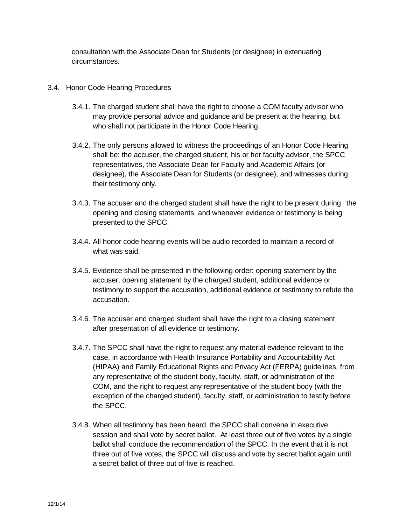consultation with the Associate Dean for Students (or designee) in extenuating circumstances.

- 3.4. Honor Code Hearing Procedures
	- 3.4.1. The charged student shall have the right to choose a COM faculty advisor who may provide personal advice and guidance and be present at the hearing, but who shall not participate in the Honor Code Hearing.
	- 3.4.2. The only persons allowed to witness the proceedings of an Honor Code Hearing shall be: the accuser, the charged student, his or her faculty advisor, the SPCC representatives, the Associate Dean for Faculty and Academic Affairs (or designee), the Associate Dean for Students (or designee), and witnesses during their testimony only.
	- 3.4.3. The accuser and the charged student shall have the right to be present during the opening and closing statements, and whenever evidence or testimony is being presented to the SPCC.
	- 3.4.4. All honor code hearing events will be audio recorded to maintain a record of what was said.
	- 3.4.5. Evidence shall be presented in the following order: opening statement by the accuser, opening statement by the charged student, additional evidence or testimony to support the accusation, additional evidence or testimony to refute the accusation.
	- 3.4.6. The accuser and charged student shall have the right to a closing statement after presentation of all evidence or testimony.
	- 3.4.7. The SPCC shall have the right to request any material evidence relevant to the case, in accordance with Health Insurance Portability and Accountability Act (HIPAA) and Family Educational Rights and Privacy Act (FERPA) guidelines, from any representative of the student body, faculty, staff, or administration of the COM, and the right to request any representative of the student body (with the exception of the charged student), faculty, staff, or administration to testify before the SPCC.
	- 3.4.8. When all testimony has been heard, the SPCC shall convene in executive session and shall vote by secret ballot. At least three out of five votes by a single ballot shall conclude the recommendation of the SPCC. In the event that it is not three out of five votes, the SPCC will discuss and vote by secret ballot again until a secret ballot of three out of five is reached.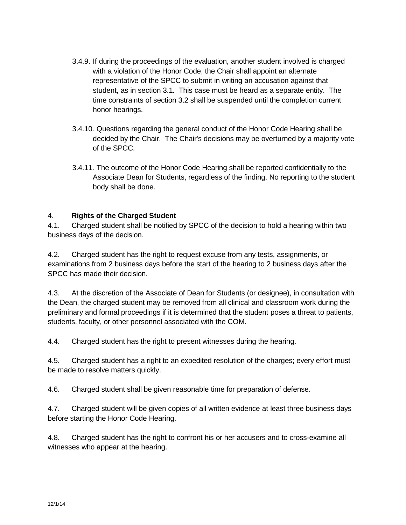- 3.4.9. If during the proceedings of the evaluation, another student involved is charged with a violation of the Honor Code, the Chair shall appoint an alternate representative of the SPCC to submit in writing an accusation against that student, as in section 3.1. This case must be heard as a separate entity. The time constraints of section 3.2 shall be suspended until the completion current honor hearings.
- 3.4.10. Questions regarding the general conduct of the Honor Code Hearing shall be decided by the Chair. The Chair's decisions may be overturned by a majority vote of the SPCC.
- 3.4.11. The outcome of the Honor Code Hearing shall be reported confidentially to the Associate Dean for Students, regardless of the finding. No reporting to the student body shall be done.

#### 4. **Rights of the Charged Student**

4.1. Charged student shall be notified by SPCC of the decision to hold a hearing within two business days of the decision.

4.2. Charged student has the right to request excuse from any tests, assignments, or examinations from 2 business days before the start of the hearing to 2 business days after the SPCC has made their decision.

4.3. At the discretion of the Associate of Dean for Students (or designee), in consultation with the Dean, the charged student may be removed from all clinical and classroom work during the preliminary and formal proceedings if it is determined that the student poses a threat to patients, students, faculty, or other personnel associated with the COM.

4.4. Charged student has the right to present witnesses during the hearing.

4.5. Charged student has a right to an expedited resolution of the charges; every effort must be made to resolve matters quickly.

4.6. Charged student shall be given reasonable time for preparation of defense.

4.7. Charged student will be given copies of all written evidence at least three business days before starting the Honor Code Hearing.

4.8. Charged student has the right to confront his or her accusers and to cross-examine all witnesses who appear at the hearing.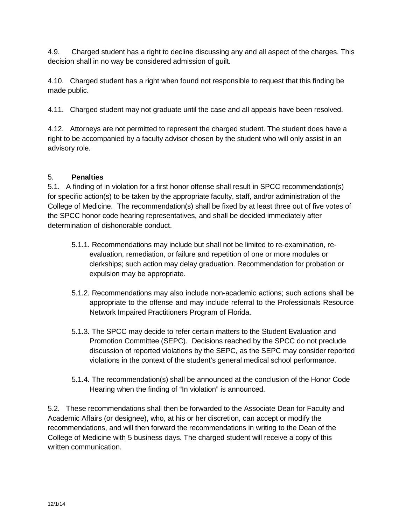4.9. Charged student has a right to decline discussing any and all aspect of the charges. This decision shall in no way be considered admission of guilt.

4.10. Charged student has a right when found not responsible to request that this finding be made public.

4.11. Charged student may not graduate until the case and all appeals have been resolved.

4.12. Attorneys are not permitted to represent the charged student. The student does have a right to be accompanied by a faculty advisor chosen by the student who will only assist in an advisory role.

#### 5. **Penalties**

5.1. A finding of in violation for a first honor offense shall result in SPCC recommendation(s) for specific action(s) to be taken by the appropriate faculty, staff, and/or administration of the College of Medicine. The recommendation(s) shall be fixed by at least three out of five votes of the SPCC honor code hearing representatives, and shall be decided immediately after determination of dishonorable conduct.

- 5.1.1. Recommendations may include but shall not be limited to re-examination, reevaluation, remediation, or failure and repetition of one or more modules or clerkships; such action may delay graduation. Recommendation for probation or expulsion may be appropriate.
- 5.1.2. Recommendations may also include non-academic actions; such actions shall be appropriate to the offense and may include referral to the Professionals Resource Network Impaired Practitioners Program of Florida.
- 5.1.3. The SPCC may decide to refer certain matters to the Student Evaluation and Promotion Committee (SEPC). Decisions reached by the SPCC do not preclude discussion of reported violations by the SEPC, as the SEPC may consider reported violations in the context of the student's general medical school performance.
- 5.1.4. The recommendation(s) shall be announced at the conclusion of the Honor Code Hearing when the finding of "In violation" is announced.

5.2. These recommendations shall then be forwarded to the Associate Dean for Faculty and Academic Affairs (or designee), who, at his or her discretion, can accept or modify the recommendations, and will then forward the recommendations in writing to the Dean of the College of Medicine with 5 business days. The charged student will receive a copy of this written communication.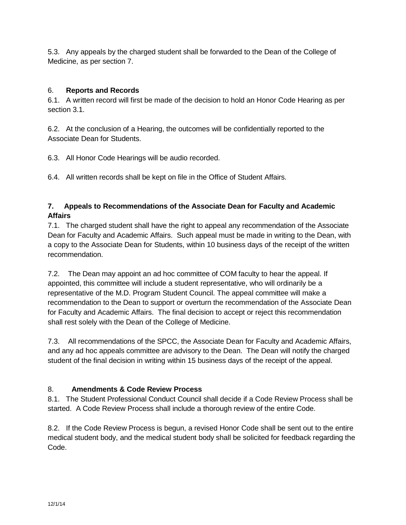5.3. Any appeals by the charged student shall be forwarded to the Dean of the College of Medicine, as per section 7.

#### 6. **Reports and Records**

6.1. A written record will first be made of the decision to hold an Honor Code Hearing as per section 3.1.

6.2. At the conclusion of a Hearing, the outcomes will be confidentially reported to the Associate Dean for Students.

6.3. All Honor Code Hearings will be audio recorded.

6.4. All written records shall be kept on file in the Office of Student Affairs.

#### **7. Appeals to Recommendations of the Associate Dean for Faculty and Academic Affairs**

7.1. The charged student shall have the right to appeal any recommendation of the Associate Dean for Faculty and Academic Affairs. Such appeal must be made in writing to the Dean, with a copy to the Associate Dean for Students, within 10 business days of the receipt of the written recommendation.

7.2. The Dean may appoint an ad hoc committee of COM faculty to hear the appeal. If appointed, this committee will include a student representative, who will ordinarily be a representative of the M.D. Program Student Council. The appeal committee will make a recommendation to the Dean to support or overturn the recommendation of the Associate Dean for Faculty and Academic Affairs. The final decision to accept or reject this recommendation shall rest solely with the Dean of the College of Medicine.

7.3. All recommendations of the SPCC, the Associate Dean for Faculty and Academic Affairs, and any ad hoc appeals committee are advisory to the Dean. The Dean will notify the charged student of the final decision in writing within 15 business days of the receipt of the appeal.

### 8. **Amendments & Code Review Process**

8.1. The Student Professional Conduct Council shall decide if a Code Review Process shall be started. A Code Review Process shall include a thorough review of the entire Code.

8.2. If the Code Review Process is begun, a revised Honor Code shall be sent out to the entire medical student body, and the medical student body shall be solicited for feedback regarding the Code.